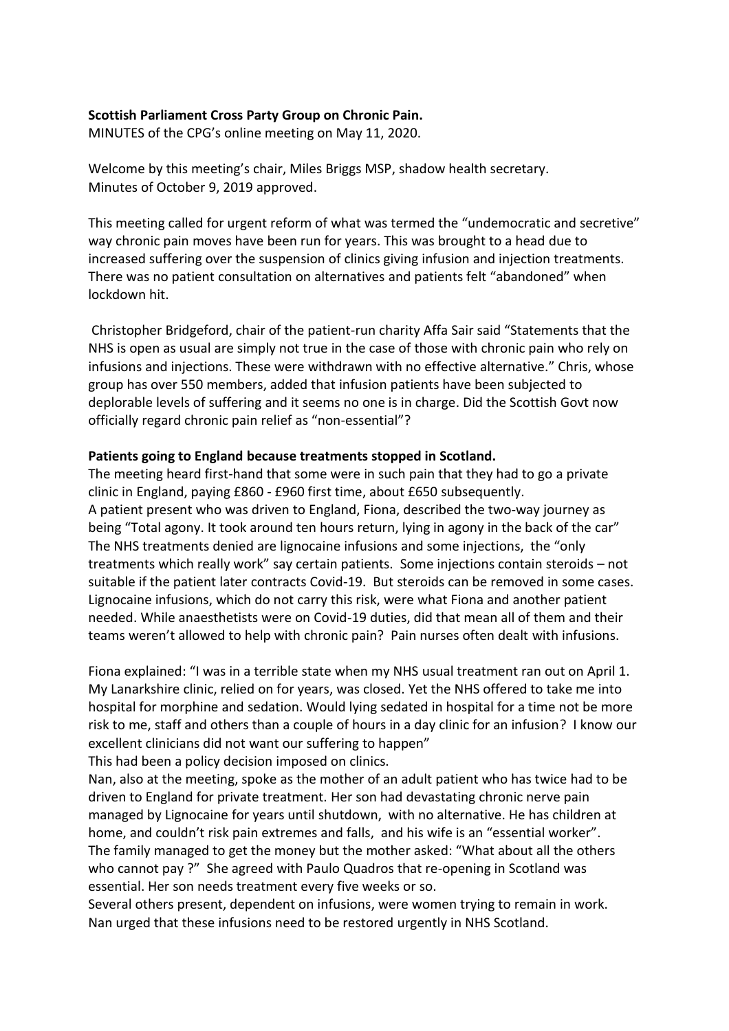## **Scottish Parliament Cross Party Group on Chronic Pain.**

MINUTES of the CPG's online meeting on May 11, 2020.

Welcome by this meeting's chair, Miles Briggs MSP, shadow health secretary. Minutes of October 9, 2019 approved.

This meeting called for urgent reform of what was termed the "undemocratic and secretive" way chronic pain moves have been run for years. This was brought to a head due to increased suffering over the suspension of clinics giving infusion and injection treatments. There was no patient consultation on alternatives and patients felt "abandoned" when lockdown hit.

Christopher Bridgeford, chair of the patient-run charity Affa Sair said "Statements that the NHS is open as usual are simply not true in the case of those with chronic pain who rely on infusions and injections. These were withdrawn with no effective alternative." Chris, whose group has over 550 members, added that infusion patients have been subjected to deplorable levels of suffering and it seems no one is in charge. Did the Scottish Govt now officially regard chronic pain relief as "non-essential"?

### **Patients going to England because treatments stopped in Scotland.**

The meeting heard first-hand that some were in such pain that they had to go a private clinic in England, paying £860 - £960 first time, about £650 subsequently. A patient present who was driven to England, Fiona, described the two-way journey as being "Total agony. It took around ten hours return, lying in agony in the back of the car" The NHS treatments denied are lignocaine infusions and some injections, the "only treatments which really work" say certain patients. Some injections contain steroids – not suitable if the patient later contracts Covid-19. But steroids can be removed in some cases. Lignocaine infusions, which do not carry this risk, were what Fiona and another patient needed. While anaesthetists were on Covid-19 duties, did that mean all of them and their teams weren't allowed to help with chronic pain? Pain nurses often dealt with infusions.

Fiona explained: "I was in a terrible state when my NHS usual treatment ran out on April 1. My Lanarkshire clinic, relied on for years, was closed. Yet the NHS offered to take me into hospital for morphine and sedation. Would lying sedated in hospital for a time not be more risk to me, staff and others than a couple of hours in a day clinic for an infusion? I know our excellent clinicians did not want our suffering to happen"

This had been a policy decision imposed on clinics.

Nan, also at the meeting, spoke as the mother of an adult patient who has twice had to be driven to England for private treatment. Her son had devastating chronic nerve pain managed by Lignocaine for years until shutdown, with no alternative. He has children at home, and couldn't risk pain extremes and falls, and his wife is an "essential worker". The family managed to get the money but the mother asked: "What about all the others who cannot pay ?" She agreed with Paulo Quadros that re-opening in Scotland was essential. Her son needs treatment every five weeks or so.

Several others present, dependent on infusions, were women trying to remain in work. Nan urged that these infusions need to be restored urgently in NHS Scotland.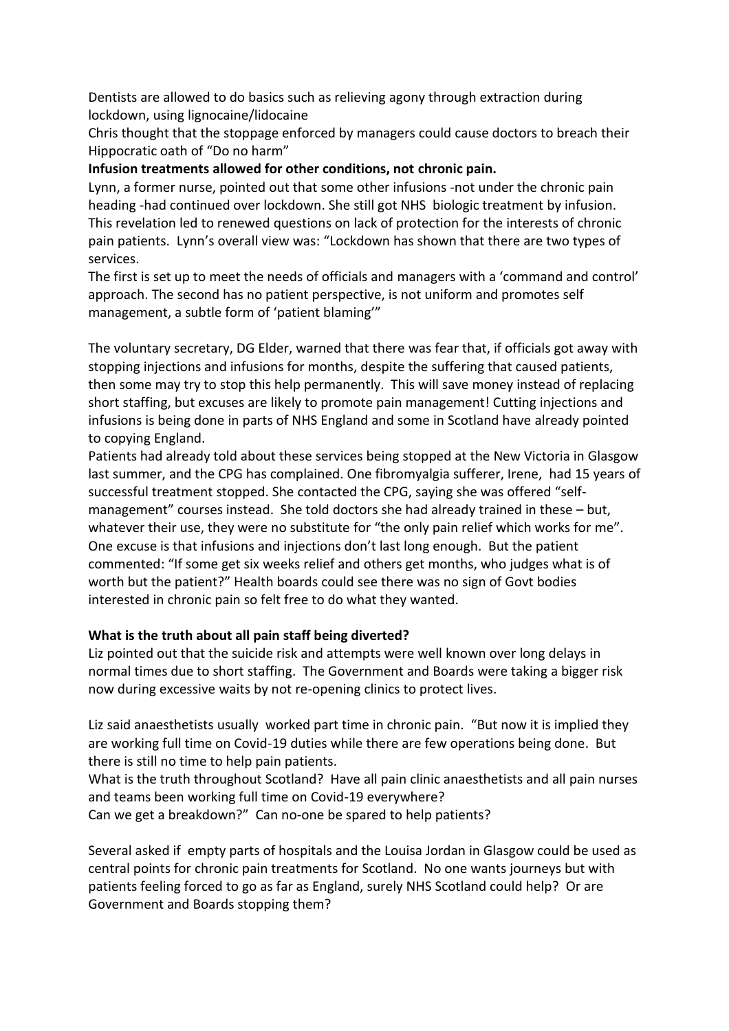Dentists are allowed to do basics such as relieving agony through extraction during lockdown, using lignocaine/lidocaine

Chris thought that the stoppage enforced by managers could cause doctors to breach their Hippocratic oath of "Do no harm"

## **Infusion treatments allowed for other conditions, not chronic pain.**

Lynn, a former nurse, pointed out that some other infusions -not under the chronic pain heading -had continued over lockdown. She still got NHS biologic treatment by infusion. This revelation led to renewed questions on lack of protection for the interests of chronic pain patients. Lynn's overall view was: "Lockdown has shown that there are two types of services.

The first is set up to meet the needs of officials and managers with a 'command and control' approach. The second has no patient perspective, is not uniform and promotes self management, a subtle form of 'patient blaming'"

The voluntary secretary, DG Elder, warned that there was fear that, if officials got away with stopping injections and infusions for months, despite the suffering that caused patients, then some may try to stop this help permanently. This will save money instead of replacing short staffing, but excuses are likely to promote pain management! Cutting injections and infusions is being done in parts of NHS England and some in Scotland have already pointed to copying England.

Patients had already told about these services being stopped at the New Victoria in Glasgow last summer, and the CPG has complained. One fibromyalgia sufferer, Irene, had 15 years of successful treatment stopped. She contacted the CPG, saying she was offered "selfmanagement" courses instead. She told doctors she had already trained in these – but, whatever their use, they were no substitute for "the only pain relief which works for me". One excuse is that infusions and injections don't last long enough. But the patient commented: "If some get six weeks relief and others get months, who judges what is of worth but the patient?" Health boards could see there was no sign of Govt bodies interested in chronic pain so felt free to do what they wanted.

### **What is the truth about all pain staff being diverted?**

Liz pointed out that the suicide risk and attempts were well known over long delays in normal times due to short staffing. The Government and Boards were taking a bigger risk now during excessive waits by not re-opening clinics to protect lives.

Liz said anaesthetists usually worked part time in chronic pain. "But now it is implied they are working full time on Covid-19 duties while there are few operations being done. But there is still no time to help pain patients.

What is the truth throughout Scotland? Have all pain clinic anaesthetists and all pain nurses and teams been working full time on Covid-19 everywhere?

Can we get a breakdown?" Can no-one be spared to help patients?

Several asked if empty parts of hospitals and the Louisa Jordan in Glasgow could be used as central points for chronic pain treatments for Scotland. No one wants journeys but with patients feeling forced to go as far as England, surely NHS Scotland could help? Or are Government and Boards stopping them?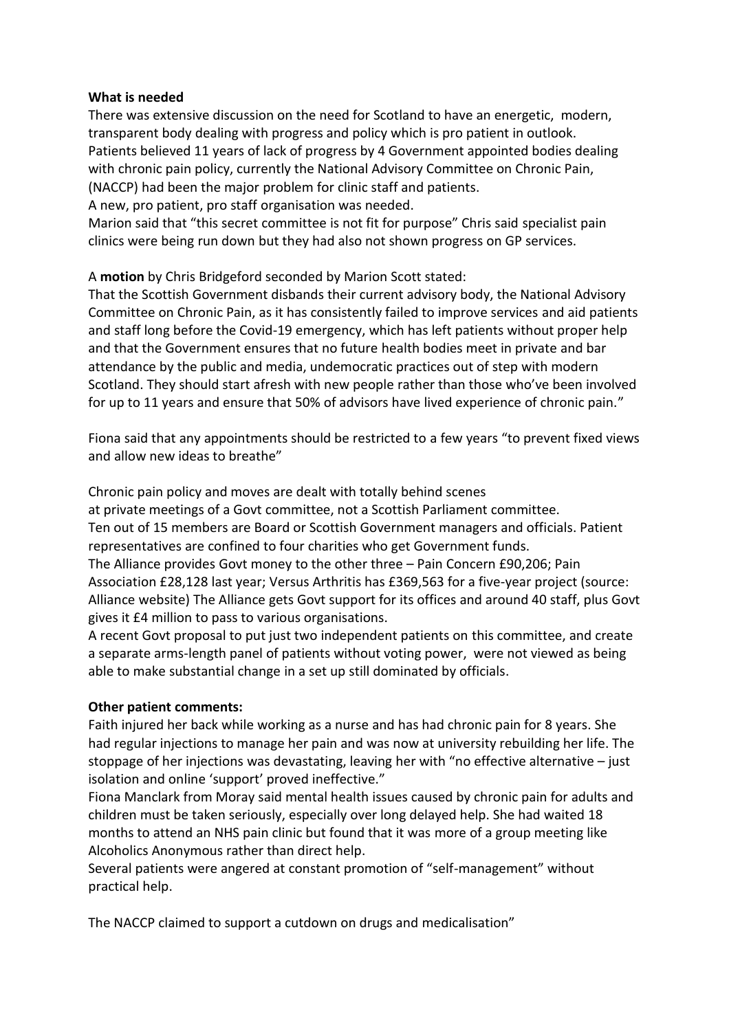### **What is needed**

There was extensive discussion on the need for Scotland to have an energetic, modern, transparent body dealing with progress and policy which is pro patient in outlook. Patients believed 11 years of lack of progress by 4 Government appointed bodies dealing with chronic pain policy, currently the National Advisory Committee on Chronic Pain, (NACCP) had been the major problem for clinic staff and patients.

A new, pro patient, pro staff organisation was needed.

Marion said that "this secret committee is not fit for purpose" Chris said specialist pain clinics were being run down but they had also not shown progress on GP services.

## A **motion** by Chris Bridgeford seconded by Marion Scott stated:

That the Scottish Government disbands their current advisory body, the National Advisory Committee on Chronic Pain, as it has consistently failed to improve services and aid patients and staff long before the Covid-19 emergency, which has left patients without proper help and that the Government ensures that no future health bodies meet in private and bar attendance by the public and media, undemocratic practices out of step with modern Scotland. They should start afresh with new people rather than those who've been involved for up to 11 years and ensure that 50% of advisors have lived experience of chronic pain."

Fiona said that any appointments should be restricted to a few years "to prevent fixed views and allow new ideas to breathe"

Chronic pain policy and moves are dealt with totally behind scenes

at private meetings of a Govt committee, not a Scottish Parliament committee. Ten out of 15 members are Board or Scottish Government managers and officials. Patient representatives are confined to four charities who get Government funds.

The Alliance provides Govt money to the other three – Pain Concern £90,206; Pain Association £28,128 last year; Versus Arthritis has £369,563 for a five-year project (source: Alliance website) The Alliance gets Govt support for its offices and around 40 staff, plus Govt gives it £4 million to pass to various organisations.

A recent Govt proposal to put just two independent patients on this committee, and create a separate arms-length panel of patients without voting power, were not viewed as being able to make substantial change in a set up still dominated by officials.

# **Other patient comments:**

Faith injured her back while working as a nurse and has had chronic pain for 8 years. She had regular injections to manage her pain and was now at university rebuilding her life. The stoppage of her injections was devastating, leaving her with "no effective alternative – just isolation and online 'support' proved ineffective."

Fiona Manclark from Moray said mental health issues caused by chronic pain for adults and children must be taken seriously, especially over long delayed help. She had waited 18 months to attend an NHS pain clinic but found that it was more of a group meeting like Alcoholics Anonymous rather than direct help.

Several patients were angered at constant promotion of "self-management" without practical help.

The NACCP claimed to support a cutdown on drugs and medicalisation"